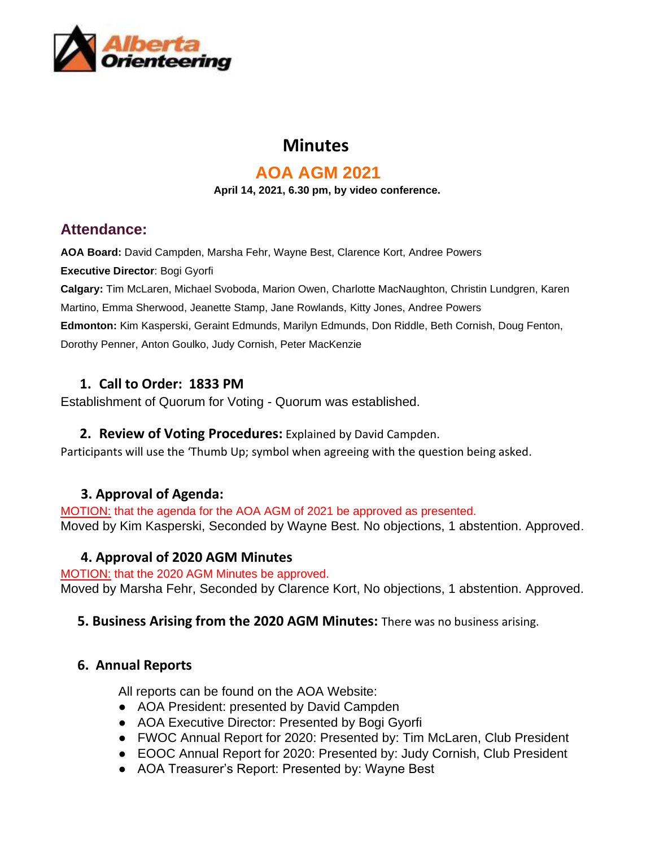

# **Minutes**

# **AOA AGM 2021**

**April 14, 2021, 6.30 pm, by video conference.**

# **Attendance:**

**AOA Board:** David Campden, Marsha Fehr, Wayne Best, Clarence Kort, Andree Powers **Executive Director**: Bogi Gyorfi

**Calgary:** Tim McLaren, Michael Svoboda, Marion Owen, Charlotte MacNaughton, Christin Lundgren, Karen Martino, Emma Sherwood, Jeanette Stamp, Jane Rowlands, Kitty Jones, Andree Powers **Edmonton:** Kim Kasperski, Geraint Edmunds, Marilyn Edmunds, Don Riddle, Beth Cornish, Doug Fenton, Dorothy Penner, Anton Goulko, Judy Cornish, Peter MacKenzie

# **1. Call to Order: 1833 PM**

Establishment of Quorum for Voting - Quorum was established.

#### **2. Review of Voting Procedures:** Explained by David Campden.

Participants will use the 'Thumb Up; symbol when agreeing with the question being asked.

### **3. Approval of Agenda:**

MOTION: that the agenda for the AOA AGM of 2021 be approved as presented. Moved by Kim Kasperski, Seconded by Wayne Best. No objections, 1 abstention. Approved.

### **4. Approval of 2020 AGM Minutes**

MOTION: that the 2020 AGM Minutes be approved. Moved by Marsha Fehr, Seconded by Clarence Kort, No objections, 1 abstention. Approved.

### **5. Business Arising from the 2020 AGM Minutes:** There was no business arising.

### **6. Annual Reports**

All reports can be found on the AOA Website:

- AOA President: presented by David Campden
- AOA Executive Director: Presented by Bogi Gyorfi
- FWOC Annual Report for 2020: Presented by: Tim McLaren, Club President
- EOOC Annual Report for 2020: Presented by: Judy Cornish, Club President
- AOA Treasurer's Report: Presented by: Wayne Best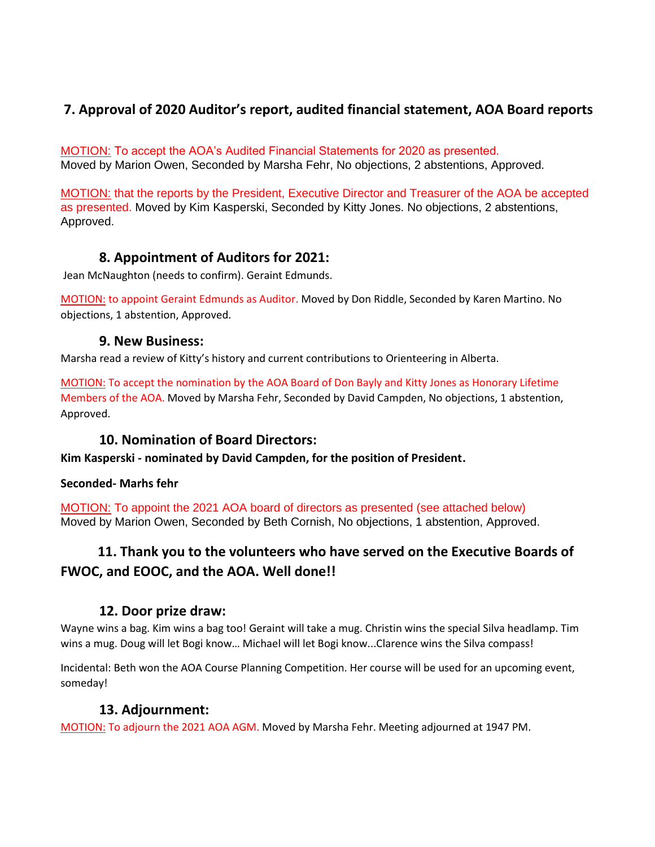# **7. Approval of 2020 Auditor's report, audited financial statement, AOA Board reports**

MOTION: To accept the AOA's Audited Financial Statements for 2020 as presented. Moved by Marion Owen, Seconded by Marsha Fehr, No objections, 2 abstentions, Approved.

MOTION: that the reports by the President, Executive Director and Treasurer of the AOA be accepted as presented. Moved by Kim Kasperski, Seconded by Kitty Jones. No objections, 2 abstentions, Approved.

#### **8. Appointment of Auditors for 2021:**

Jean McNaughton (needs to confirm). Geraint Edmunds.

MOTION: to appoint Geraint Edmunds as Auditor. Moved by Don Riddle, Seconded by Karen Martino. No objections, 1 abstention, Approved.

#### **9. New Business:**

Marsha read a review of Kitty's history and current contributions to Orienteering in Alberta.

MOTION: To accept the nomination by the AOA Board of Don Bayly and Kitty Jones as Honorary Lifetime Members of the AOA. Moved by Marsha Fehr, Seconded by David Campden, No objections, 1 abstention, Approved.

#### **10. Nomination of Board Directors:**

**Kim Kasperski - nominated by David Campden, for the position of President.**

#### **Seconded- Marhs fehr**

MOTION: To appoint the 2021 AOA board of directors as presented (see attached below) Moved by Marion Owen, Seconded by Beth Cornish, No objections, 1 abstention, Approved.

### **11. Thank you to the volunteers who have served on the Executive Boards of FWOC, and EOOC, and the AOA. Well done!!**

#### **12. Door prize draw:**

Wayne wins a bag. Kim wins a bag too! Geraint will take a mug. Christin wins the special Silva headlamp. Tim wins a mug. Doug will let Bogi know… Michael will let Bogi know...Clarence wins the Silva compass!

Incidental: Beth won the AOA Course Planning Competition. Her course will be used for an upcoming event, someday!

#### **13. Adjournment:**

MOTION: To adjourn the 2021 AOA AGM. Moved by Marsha Fehr. Meeting adjourned at 1947 PM.